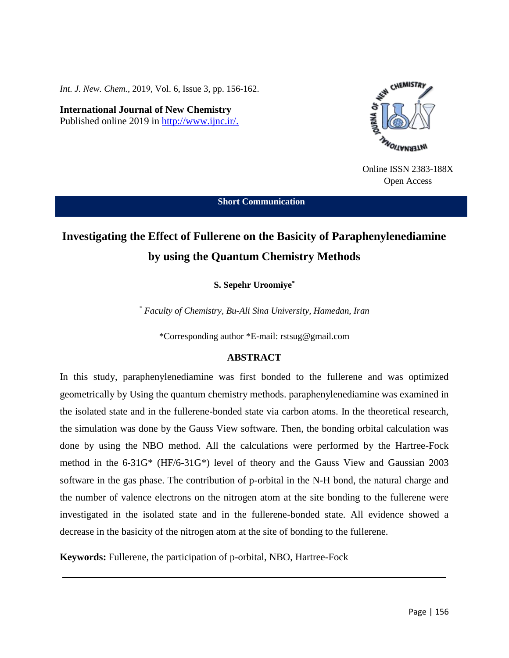*Int. J. New. Chem.*, 2019, Vol. 6, Issue 3, pp. 156-162.

**International Journal of New Chemistry** Published online 2019 in [http://www.ijnc.ir/.](http://www.ijnc.ir/)



Online ISSN 2383-188X Open Access

**Short Communication**

# **Investigating the Effect of Fullerene on the Basicity of Paraphenylenediamine by using the Quantum Chemistry Methods**

**S. Sepehr Uroomiye\***

*\* Faculty of Chemistry, Bu-Ali Sina University, Hamedan, Iran*

\*Corresponding author \*E-mail: rstsug@gmail.com

## **ABSTRACT**

In this study, paraphenylenediamine was first bonded to the fullerene and was optimized geometrically by Using the quantum chemistry methods. paraphenylenediamine was examined in the isolated state and in the fullerene-bonded state via carbon atoms. In the theoretical research, the simulation was done by the Gauss View software. Then, the bonding orbital calculation was done by using the NBO method. All the calculations were performed by the Hartree-Fock method in the 6-31G\* (HF/6-31G\*) level of theory and the Gauss View and Gaussian 2003 software in the gas phase. The contribution of p-orbital in the N-H bond, the natural charge and the number of valence electrons on the nitrogen atom at the site bonding to the fullerene were investigated in the isolated state and in the fullerene-bonded state. All evidence showed a decrease in the basicity of the nitrogen atom at the site of bonding to the fullerene.

**Keywords:** Fullerene, the participation of p-orbital, NBO, Hartree-Fock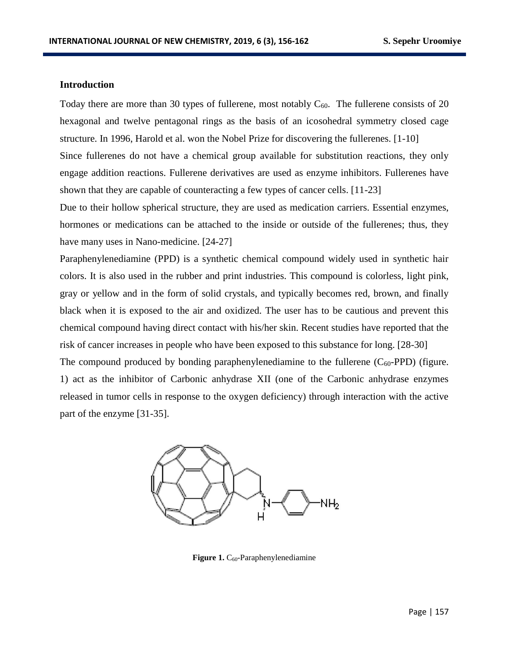#### **Introduction**

Today there are more than 30 types of fullerene, most notably  $C_{60}$ . The fullerene consists of 20 hexagonal and twelve pentagonal rings as the basis of an icosohedral symmetry closed cage structure. In 1996, Harold et al. won the Nobel Prize for discovering the fullerenes. [1-10] Since fullerenes do not have a chemical group available for substitution reactions, they only engage addition reactions. Fullerene derivatives are used as enzyme inhibitors. Fullerenes have shown that they are capable of counteracting a few types of cancer cells. [11-23]

Due to their hollow spherical structure, they are used as medication carriers. Essential enzymes, hormones or medications can be attached to the inside or outside of the fullerenes; thus, they have many uses in Nano-medicine. [24-27]

Paraphenylenediamine (PPD) is a synthetic chemical compound widely used in synthetic hair colors. It is also used in the rubber and print industries. This compound is colorless, light pink, gray or yellow and in the form of solid crystals, and typically becomes red, brown, and finally black when it is exposed to the air and oxidized. The user has to be cautious and prevent this chemical compound having direct contact with his/her skin. Recent studies have reported that the risk of cancer increases in people who have been exposed to this substance for long. [28-30] The compound produced by bonding paraphenylenediamine to the fullerene  $(C_{60}$ -PPD) (figure. 1) act as the inhibitor of Carbonic anhydrase XII (one of the Carbonic anhydrase enzymes released in tumor cells in response to the oxygen deficiency) through interaction with the active part of the enzyme [31-35].



Figure 1. C<sub>60</sub>-Paraphenylenediamine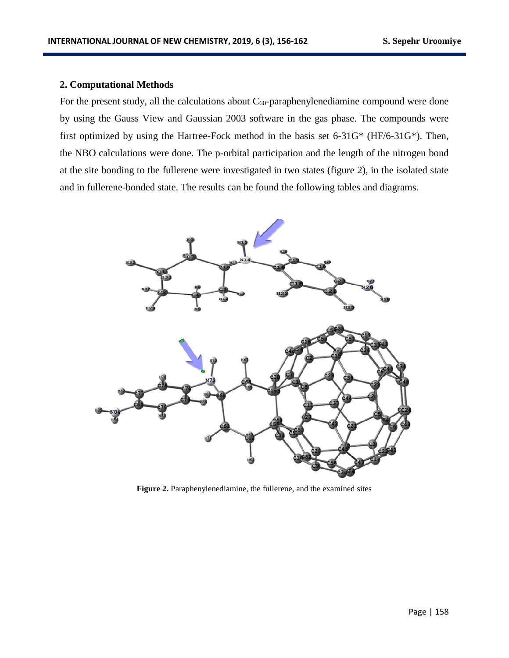## **2. Computational Methods**

For the present study, all the calculations about  $C_{60}$ -paraphenylenediamine compound were done by using the Gauss View and Gaussian 2003 software in the gas phase. The compounds were first optimized by using the Hartree-Fock method in the basis set 6-31G\* (HF/6-31G\*). Then, the NBO calculations were done. The p-orbital participation and the length of the nitrogen bond at the site bonding to the fullerene were investigated in two states (figure 2), in the isolated state and in fullerene-bonded state. The results can be found the following tables and diagrams.



Figure 2. Paraphenylenediamine, the fullerene, and the examined sites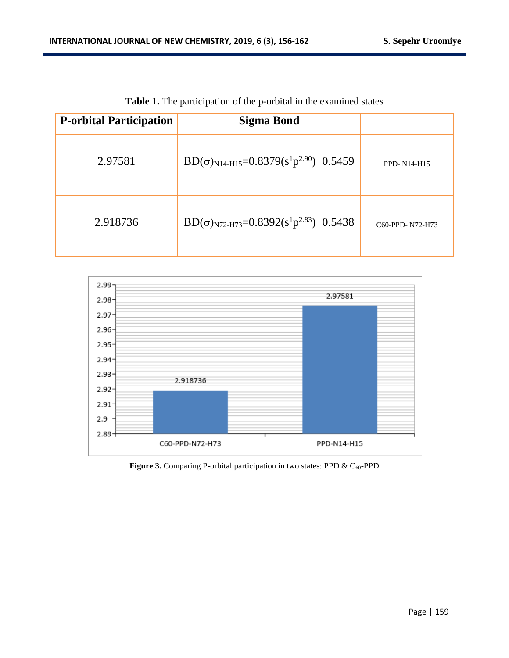| <b>P-orbital Participation</b> | <b>Sigma Bond</b>                                     |                 |
|--------------------------------|-------------------------------------------------------|-----------------|
| 2.97581                        | $BD(\sigma)_{N14-H15} = 0.8379(s^1p^{2.90}) + 0.5459$ | PPD-N14-H15     |
| 2.918736                       | $BD(\sigma)_{N72-H73}=0.8392(s^1p^{2.83})+0.5438$     | C60-PPD-N72-H73 |

**Table 1.** The participation of the p-orbital in the examined states



Figure 3. Comparing P-orbital participation in two states: PPD & C<sub>60</sub>-PPD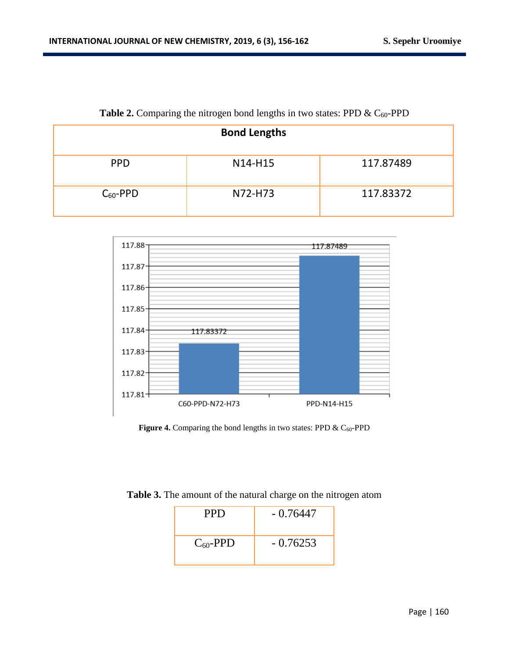|               | <b>Bond Lengths</b> |           |
|---------------|---------------------|-----------|
| <b>PPD</b>    | N14-H15             | 117.87489 |
| $C_{60}$ -PPD | N72-H73             | 117.83372 |

# Table 2. Comparing the nitrogen bond lengths in two states: PPD & C<sub>60</sub>-PPD



**Figure 4.** Comparing the bond lengths in two states: PPD  $\&$  C<sub>60</sub>-PPD

| Table 3. The amount of the natural charge on the nitrogen atom |  |  |  |
|----------------------------------------------------------------|--|--|--|
|----------------------------------------------------------------|--|--|--|

| <b>PPD</b>    | $-0.76447$ |
|---------------|------------|
| $C_{60}$ -PPD | $-0.76253$ |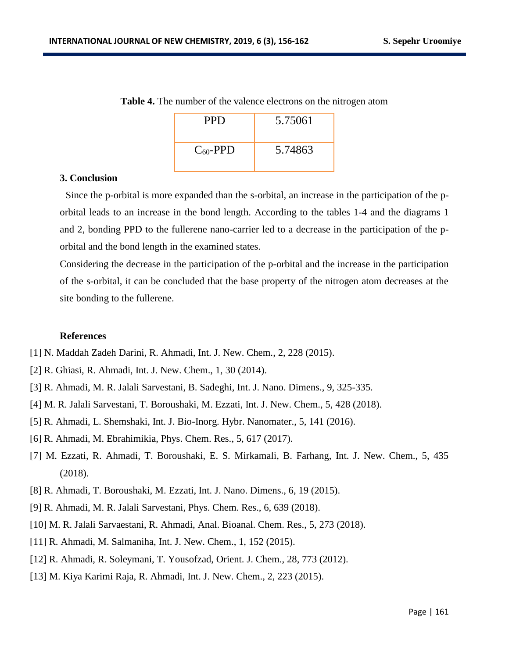| <b>PPD</b>    | 5.75061 |
|---------------|---------|
| $C_{60}$ -PPD | 5.74863 |

**Table 4.** The number of the valence electrons on the nitrogen atom

#### **3. Conclusion**

 Since the p-orbital is more expanded than the s-orbital, an increase in the participation of the porbital leads to an increase in the bond length. According to the tables 1-4 and the diagrams 1 and 2, bonding PPD to the fullerene nano-carrier led to a decrease in the participation of the porbital and the bond length in the examined states.

Considering the decrease in the participation of the p-orbital and the increase in the participation of the s-orbital, it can be concluded that the base property of the nitrogen atom decreases at the site bonding to the fullerene.

### **References**

- [1] N. Maddah Zadeh Darini, R. Ahmadi, Int. J. New. Chem., 2, 228 (2015).
- [2] R. Ghiasi, R. Ahmadi, Int. J. New. Chem., 1, 30 (2014).
- [3] R. Ahmadi, M. R. Jalali Sarvestani, B. Sadeghi, Int. J. Nano. Dimens., 9, 325-335.
- [4] M. R. Jalali Sarvestani, T. Boroushaki, M. Ezzati, Int. J. New. Chem., 5, 428 (2018).
- [5] R. Ahmadi, L. Shemshaki, Int. J. Bio-Inorg. Hybr. Nanomater., 5, 141 (2016).
- [6] R. Ahmadi, M. Ebrahimikia, Phys. Chem. Res., 5, 617 (2017).
- [7] M. Ezzati, R. Ahmadi, T. Boroushaki, E. S. Mirkamali, B. Farhang, Int. J. New. Chem., 5, 435 (2018).
- [8] R. Ahmadi, T. Boroushaki, M. Ezzati, Int. J. Nano. Dimens., 6, 19 (2015).
- [9] R. Ahmadi, M. R. Jalali Sarvestani, Phys. Chem. Res., 6, 639 (2018).
- [10] M. R. Jalali Sarvaestani, R. Ahmadi, Anal. Bioanal. Chem. Res., 5, 273 (2018).
- [11] R. Ahmadi, M. Salmaniha, Int. J. New. Chem., 1, 152 (2015).
- [12] R. Ahmadi, R. Soleymani, T. Yousofzad, Orient. J. Chem., 28, 773 (2012).
- [13] M. Kiya Karimi Raja, R. Ahmadi, Int. J. New. Chem., 2, 223 (2015).